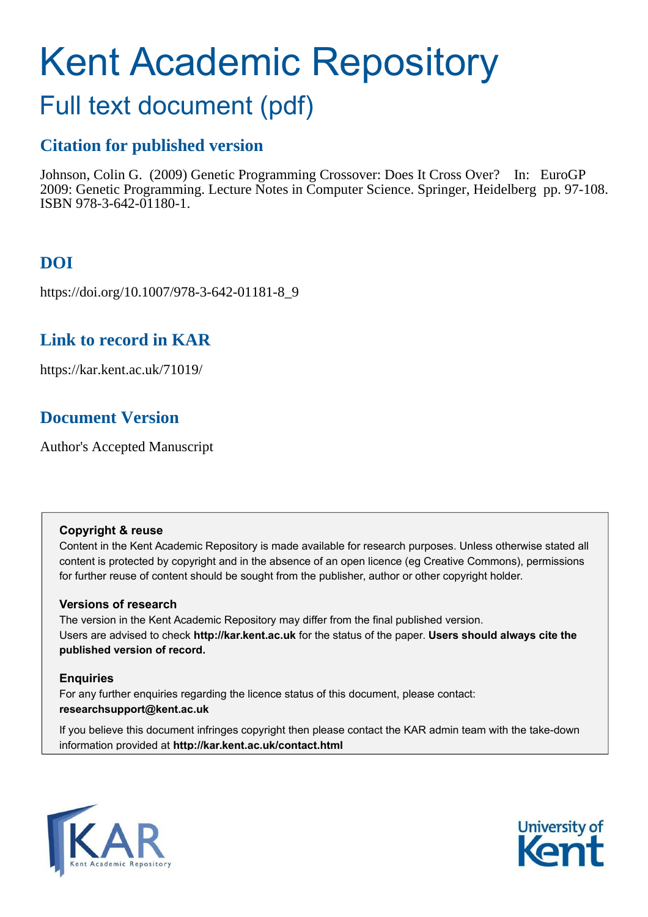# Kent Academic Repository

## Full text document (pdf)

## **Citation for published version**

Johnson, Colin G. (2009) Genetic Programming Crossover: Does It Cross Over? In: EuroGP 2009: Genetic Programming. Lecture Notes in Computer Science. Springer, Heidelberg pp. 97-108. ISBN 978-3-642-01180-1.

## **DOI**

https://doi.org/10.1007/978-3-642-01181-8\_9

## **Link to record in KAR**

https://kar.kent.ac.uk/71019/

## **Document Version**

Author's Accepted Manuscript

#### **Copyright & reuse**

Content in the Kent Academic Repository is made available for research purposes. Unless otherwise stated all content is protected by copyright and in the absence of an open licence (eg Creative Commons), permissions for further reuse of content should be sought from the publisher, author or other copyright holder.

#### **Versions of research**

The version in the Kent Academic Repository may differ from the final published version. Users are advised to check **http://kar.kent.ac.uk** for the status of the paper. **Users should always cite the published version of record.**

#### **Enquiries**

For any further enquiries regarding the licence status of this document, please contact: **researchsupport@kent.ac.uk**

If you believe this document infringes copyright then please contact the KAR admin team with the take-down information provided at **http://kar.kent.ac.uk/contact.html**



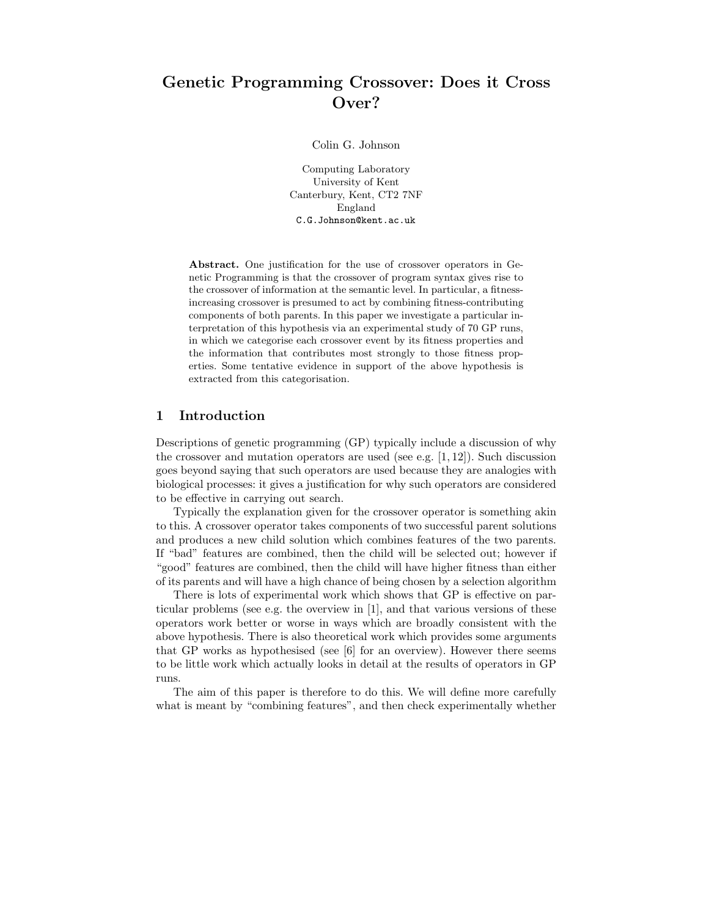### Genetic Programming Crossover: Does it Cross Over?

Colin G. Johnson

Computing Laboratory University of Kent Canterbury, Kent, CT2 7NF England C.G.Johnson@kent.ac.uk

Abstract. One justification for the use of crossover operators in Genetic Programming is that the crossover of program syntax gives rise to the crossover of information at the semantic level. In particular, a fitnessincreasing crossover is presumed to act by combining fitness-contributing components of both parents. In this paper we investigate a particular interpretation of this hypothesis via an experimental study of 70 GP runs, in which we categorise each crossover event by its fitness properties and the information that contributes most strongly to those fitness properties. Some tentative evidence in support of the above hypothesis is extracted from this categorisation.

#### 1 Introduction

Descriptions of genetic programming (GP) typically include a discussion of why the crossover and mutation operators are used (see e.g.  $[1, 12]$ ). Such discussion goes beyond saying that such operators are used because they are analogies with biological processes: it gives a justification for why such operators are considered to be effective in carrying out search.

Typically the explanation given for the crossover operator is something akin to this. A crossover operator takes components of two successful parent solutions and produces a new child solution which combines features of the two parents. If "bad" features are combined, then the child will be selected out; however if "good" features are combined, then the child will have higher fitness than either of its parents and will have a high chance of being chosen by a selection algorithm

There is lots of experimental work which shows that GP is effective on particular problems (see e.g. the overview in [1], and that various versions of these operators work better or worse in ways which are broadly consistent with the above hypothesis. There is also theoretical work which provides some arguments that GP works as hypothesised (see [6] for an overview). However there seems to be little work which actually looks in detail at the results of operators in GP runs.

The aim of this paper is therefore to do this. We will define more carefully what is meant by "combining features", and then check experimentally whether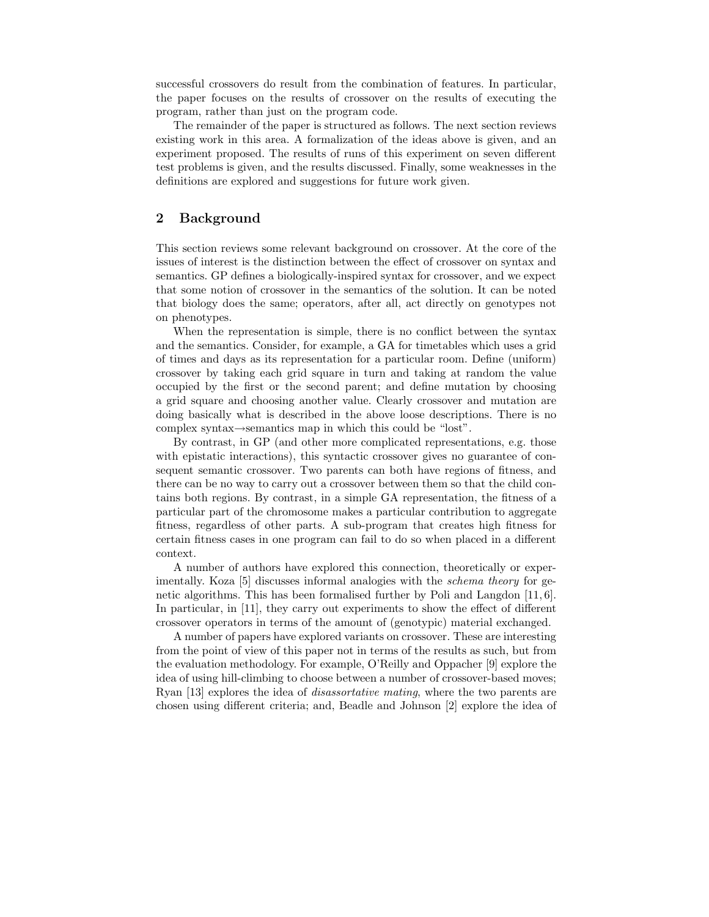successful crossovers do result from the combination of features. In particular, the paper focuses on the results of crossover on the results of executing the program, rather than just on the program code.

The remainder of the paper is structured as follows. The next section reviews existing work in this area. A formalization of the ideas above is given, and an experiment proposed. The results of runs of this experiment on seven different test problems is given, and the results discussed. Finally, some weaknesses in the definitions are explored and suggestions for future work given.

#### 2 Background

This section reviews some relevant background on crossover. At the core of the issues of interest is the distinction between the effect of crossover on syntax and semantics. GP defines a biologically-inspired syntax for crossover, and we expect that some notion of crossover in the semantics of the solution. It can be noted that biology does the same; operators, after all, act directly on genotypes not on phenotypes.

When the representation is simple, there is no conflict between the syntax and the semantics. Consider, for example, a GA for timetables which uses a grid of times and days as its representation for a particular room. Define (uniform) crossover by taking each grid square in turn and taking at random the value occupied by the first or the second parent; and define mutation by choosing a grid square and choosing another value. Clearly crossover and mutation are doing basically what is described in the above loose descriptions. There is no complex syntax→semantics map in which this could be "lost".

By contrast, in GP (and other more complicated representations, e.g. those with epistatic interactions), this syntactic crossover gives no guarantee of consequent semantic crossover. Two parents can both have regions of fitness, and there can be no way to carry out a crossover between them so that the child contains both regions. By contrast, in a simple GA representation, the fitness of a particular part of the chromosome makes a particular contribution to aggregate fitness, regardless of other parts. A sub-program that creates high fitness for certain fitness cases in one program can fail to do so when placed in a different context.

A number of authors have explored this connection, theoretically or experimentally. Koza [5] discusses informal analogies with the *schema theory* for genetic algorithms. This has been formalised further by Poli and Langdon [11, 6]. In particular, in [11], they carry out experiments to show the effect of different crossover operators in terms of the amount of (genotypic) material exchanged.

A number of papers have explored variants on crossover. These are interesting from the point of view of this paper not in terms of the results as such, but from the evaluation methodology. For example, O'Reilly and Oppacher [9] explore the idea of using hill-climbing to choose between a number of crossover-based moves; Ryan [13] explores the idea of disassortative mating, where the two parents are chosen using different criteria; and, Beadle and Johnson [2] explore the idea of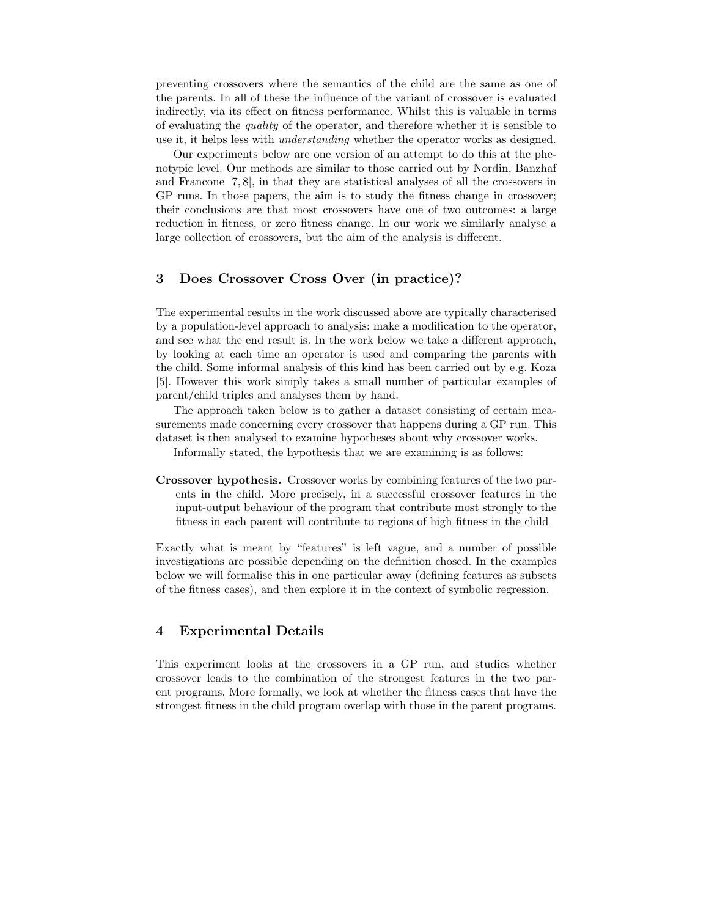preventing crossovers where the semantics of the child are the same as one of the parents. In all of these the influence of the variant of crossover is evaluated indirectly, via its effect on fitness performance. Whilst this is valuable in terms of evaluating the quality of the operator, and therefore whether it is sensible to use it, it helps less with understanding whether the operator works as designed.

Our experiments below are one version of an attempt to do this at the phenotypic level. Our methods are similar to those carried out by Nordin, Banzhaf and Francone [7, 8], in that they are statistical analyses of all the crossovers in GP runs. In those papers, the aim is to study the fitness change in crossover; their conclusions are that most crossovers have one of two outcomes: a large reduction in fitness, or zero fitness change. In our work we similarly analyse a large collection of crossovers, but the aim of the analysis is different.

#### 3 Does Crossover Cross Over (in practice)?

The experimental results in the work discussed above are typically characterised by a population-level approach to analysis: make a modification to the operator, and see what the end result is. In the work below we take a different approach, by looking at each time an operator is used and comparing the parents with the child. Some informal analysis of this kind has been carried out by e.g. Koza [5]. However this work simply takes a small number of particular examples of parent/child triples and analyses them by hand.

The approach taken below is to gather a dataset consisting of certain measurements made concerning every crossover that happens during a GP run. This dataset is then analysed to examine hypotheses about why crossover works.

Informally stated, the hypothesis that we are examining is as follows:

Crossover hypothesis. Crossover works by combining features of the two parents in the child. More precisely, in a successful crossover features in the input-output behaviour of the program that contribute most strongly to the fitness in each parent will contribute to regions of high fitness in the child

Exactly what is meant by "features" is left vague, and a number of possible investigations are possible depending on the definition chosed. In the examples below we will formalise this in one particular away (defining features as subsets of the fitness cases), and then explore it in the context of symbolic regression.

#### 4 Experimental Details

This experiment looks at the crossovers in a GP run, and studies whether crossover leads to the combination of the strongest features in the two parent programs. More formally, we look at whether the fitness cases that have the strongest fitness in the child program overlap with those in the parent programs.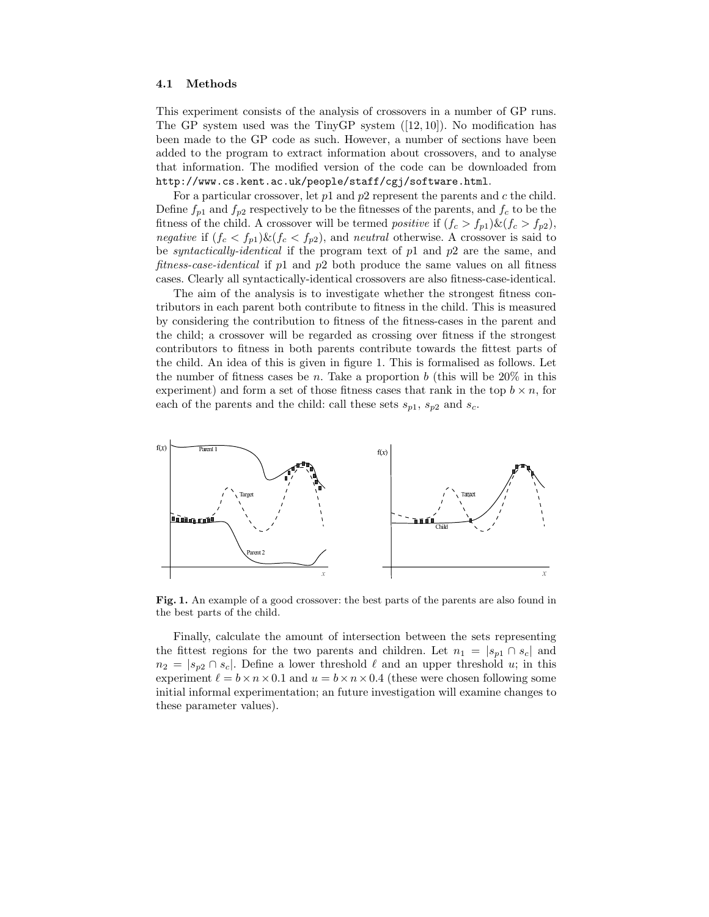#### 4.1 Methods

This experiment consists of the analysis of crossovers in a number of GP runs. The GP system used was the TinyGP system  $([12, 10])$ . No modification has been made to the GP code as such. However, a number of sections have been added to the program to extract information about crossovers, and to analyse that information. The modified version of the code can be downloaded from http://www.cs.kent.ac.uk/people/staff/cgj/software.html.

For a particular crossover, let  $p1$  and  $p2$  represent the parents and  $c$  the child. Define  $f_{p1}$  and  $f_{p2}$  respectively to be the fitnesses of the parents, and  $f_c$  to be the fitness of the child. A crossover will be termed *positive* if  $(f_c > f_{p1}) \& (f_c > f_{p2})$ , negative if  $(f_c < f_{p1}) \& (f_c < f_{p2})$ , and neutral otherwise. A crossover is said to be syntactically-identical if the program text of p1 and p2 are the same, and fitness-case-identical if p1 and p2 both produce the same values on all fitness cases. Clearly all syntactically-identical crossovers are also fitness-case-identical.

The aim of the analysis is to investigate whether the strongest fitness contributors in each parent both contribute to fitness in the child. This is measured by considering the contribution to fitness of the fitness-cases in the parent and the child; a crossover will be regarded as crossing over fitness if the strongest contributors to fitness in both parents contribute towards the fittest parts of the child. An idea of this is given in figure 1. This is formalised as follows. Let the number of fitness cases be n. Take a proportion b (this will be  $20\%$  in this experiment) and form a set of those fitness cases that rank in the top  $b \times n$ , for each of the parents and the child: call these sets  $s_{p1}, s_{p2}$  and  $s_c$ .



Fig. 1. An example of a good crossover: the best parts of the parents are also found in the best parts of the child.

Finally, calculate the amount of intersection between the sets representing the fittest regions for the two parents and children. Let  $n_1 = |s_{p1} \cap s_c|$  and  $n_2 = |s_{n2} \cap s_c|$ . Define a lower threshold  $\ell$  and an upper threshold u; in this experiment  $\ell = b \times n \times 0.1$  and  $u = b \times n \times 0.4$  (these were chosen following some initial informal experimentation; an future investigation will examine changes to these parameter values).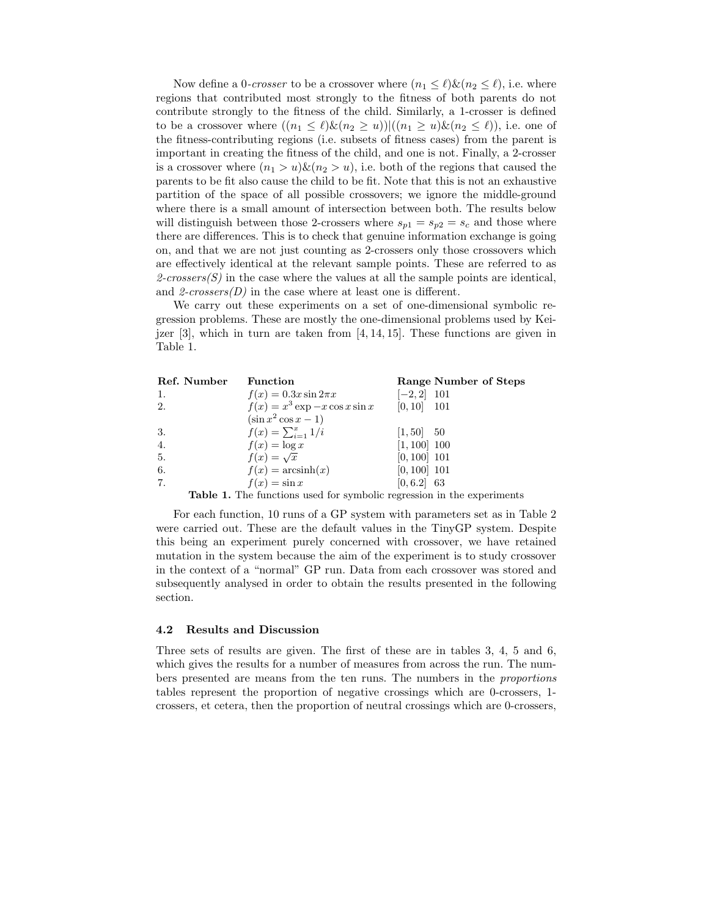Now define a 0-crosser to be a crossover where  $(n_1 \leq \ell) \& (n_2 \leq \ell)$ , i.e. where regions that contributed most strongly to the fitness of both parents do not contribute strongly to the fitness of the child. Similarly, a 1-crosser is defined to be a crossover where  $((n_1 \leq \ell) \& (n_2 \geq u))$  $((n_1 \geq u) \& (n_2 \leq \ell))$ , i.e. one of the fitness-contributing regions (i.e. subsets of fitness cases) from the parent is important in creating the fitness of the child, and one is not. Finally, a 2-crosser is a crossover where  $(n_1 > u) \& (n_2 > u)$ , i.e. both of the regions that caused the parents to be fit also cause the child to be fit. Note that this is not an exhaustive partition of the space of all possible crossovers; we ignore the middle-ground where there is a small amount of intersection between both. The results below will distinguish between those 2-crossers where  $s_{p1} = s_{p2} = s_c$  and those where there are differences. This is to check that genuine information exchange is going on, and that we are not just counting as 2-crossers only those crossovers which are effectively identical at the relevant sample points. These are referred to as 2-crossers(S) in the case where the values at all the sample points are identical, and  $2\text{-}crossers(D)$  in the case where at least one is different.

We carry out these experiments on a set of one-dimensional symbolic regression problems. These are mostly the one-dimensional problems used by Keiizer  $[3]$ , which in turn are taken from  $[4, 14, 15]$ . These functions are given in Table 1.

| Ref. Number | <b>Function</b>                                                                                                                                                    | Range Number of Steps |
|-------------|--------------------------------------------------------------------------------------------------------------------------------------------------------------------|-----------------------|
| 1.          | $f(x) = 0.3x \sin 2\pi x$                                                                                                                                          | $[-2, 2]$ 101         |
| 2.          | $f(x) = x^3 \exp(-x \cos x \sin x)$                                                                                                                                | $[0, 10]$ 101         |
|             | $(\sin x^2 \cos x - 1)$                                                                                                                                            |                       |
| 3.          | $f(x) = \sum_{i=1}^{x} 1/i$                                                                                                                                        | $[1, 50]$ 50          |
| 4.          | $f(x) = \log x$                                                                                                                                                    | $[1, 100]$ 100        |
| 5.          | $f(x) = \sqrt{x}$                                                                                                                                                  | $[0, 100]$ 101        |
| 6.          | $f(x) = \operatorname{arcsinh}(x)$                                                                                                                                 | $[0, 100]$ 101        |
| 7.          | $f(x) = \sin x$                                                                                                                                                    | $[0, 6.2]$ 63         |
|             | $\mathbf{r}$ , $\mathbf{r}$ , $\mathbf{r}$ , $\mathbf{r}$ , $\mathbf{r}$ , $\mathbf{r}$ , $\mathbf{r}$ , $\mathbf{r}$ , $\mathbf{r}$ , $\mathbf{r}$ , $\mathbf{r}$ |                       |

Table 1. The functions used for symbolic regression in the experiments

For each function, 10 runs of a GP system with parameters set as in Table 2 were carried out. These are the default values in the TinyGP system. Despite this being an experiment purely concerned with crossover, we have retained mutation in the system because the aim of the experiment is to study crossover in the context of a "normal" GP run. Data from each crossover was stored and subsequently analysed in order to obtain the results presented in the following section.

#### 4.2 Results and Discussion

Three sets of results are given. The first of these are in tables 3, 4, 5 and 6, which gives the results for a number of measures from across the run. The numbers presented are means from the ten runs. The numbers in the proportions tables represent the proportion of negative crossings which are 0-crossers, 1 crossers, et cetera, then the proportion of neutral crossings which are 0-crossers,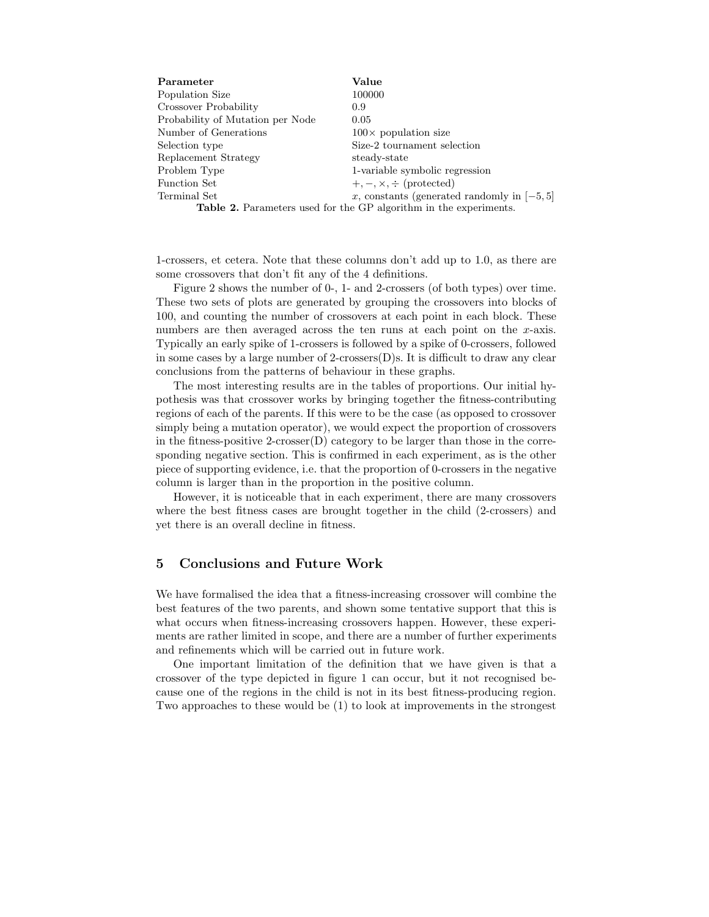| Parameter                        | Value                                                                    |
|----------------------------------|--------------------------------------------------------------------------|
| Population Size                  | 100000                                                                   |
| Crossover Probability            | 0.9                                                                      |
| Probability of Mutation per Node | 0.05                                                                     |
| Number of Generations            | $100 \times$ population size                                             |
| Selection type                   | Size-2 tournament selection                                              |
| Replacement Strategy             | steady-state                                                             |
| Problem Type                     | 1-variable symbolic regression                                           |
| <b>Function Set</b>              | $+, -, \times, \div$ (protected)                                         |
| Terminal Set                     | x, constants (generated randomly in $[-5, 5]$ )                          |
|                                  | <b>Table 2.</b> Parameters used for the GP algorithm in the experiments. |

1-crossers, et cetera. Note that these columns don't add up to 1.0, as there are some crossovers that don't fit any of the 4 definitions.

Figure 2 shows the number of 0-, 1- and 2-crossers (of both types) over time. These two sets of plots are generated by grouping the crossovers into blocks of 100, and counting the number of crossovers at each point in each block. These numbers are then averaged across the ten runs at each point on the  $x$ -axis. Typically an early spike of 1-crossers is followed by a spike of 0-crossers, followed in some cases by a large number of 2-crossers $(D)$ s. It is difficult to draw any clear conclusions from the patterns of behaviour in these graphs.

The most interesting results are in the tables of proportions. Our initial hypothesis was that crossover works by bringing together the fitness-contributing regions of each of the parents. If this were to be the case (as opposed to crossover simply being a mutation operator), we would expect the proportion of crossovers in the fitness-positive 2-crosser $(D)$  category to be larger than those in the corresponding negative section. This is confirmed in each experiment, as is the other piece of supporting evidence, i.e. that the proportion of 0-crossers in the negative column is larger than in the proportion in the positive column.

However, it is noticeable that in each experiment, there are many crossovers where the best fitness cases are brought together in the child (2-crossers) and yet there is an overall decline in fitness.

#### 5 Conclusions and Future Work

We have formalised the idea that a fitness-increasing crossover will combine the best features of the two parents, and shown some tentative support that this is what occurs when fitness-increasing crossovers happen. However, these experiments are rather limited in scope, and there are a number of further experiments and refinements which will be carried out in future work.

One important limitation of the definition that we have given is that a crossover of the type depicted in figure 1 can occur, but it not recognised because one of the regions in the child is not in its best fitness-producing region. Two approaches to these would be (1) to look at improvements in the strongest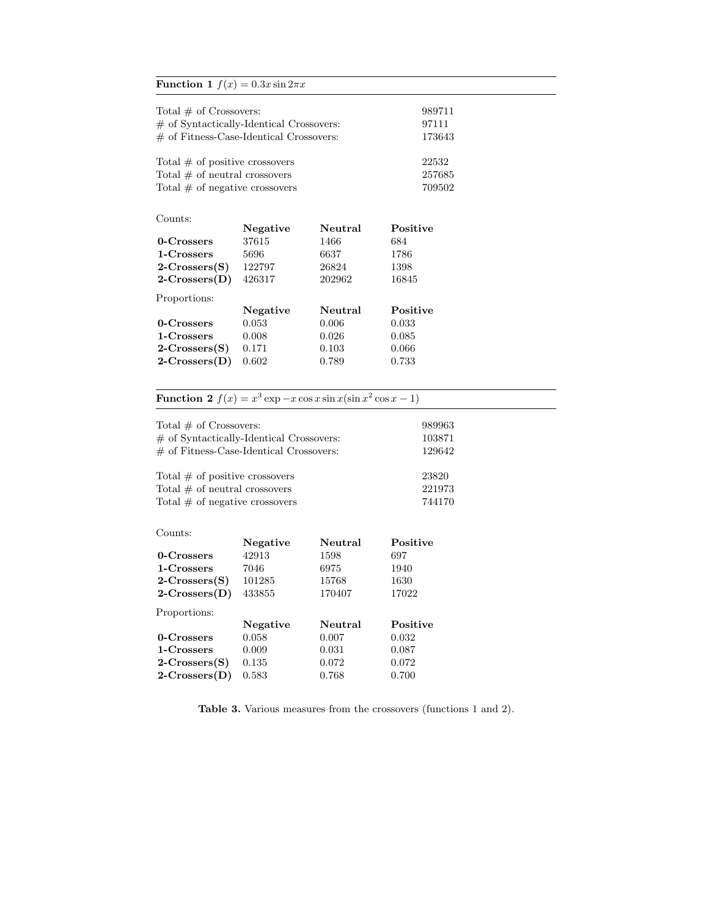#### **Function 1**  $f(x) = 0.3x \sin 2\pi x$

| Total $\#$ of Crossovers:                  | 989711                                                                                                     |         |          |  |
|--------------------------------------------|------------------------------------------------------------------------------------------------------------|---------|----------|--|
| $#$ of Syntactically-Identical Crossovers: | 97111                                                                                                      |         |          |  |
| $\#$ of Fitness-Case-Identical Crossovers: | 173643                                                                                                     |         |          |  |
|                                            | Total $\#$ of positive crossovers<br>Total $\#$ of neutral crossovers<br>Total $\#$ of negative crossovers |         |          |  |
| Counts:                                    | Negative                                                                                                   | Neutral | Positive |  |
| 0-Crossers                                 | 37615                                                                                                      | 1466    | 684      |  |

| <u>ve vu vaatua</u> | <u> 91919</u> | エエリリ    | UO T     |
|---------------------|---------------|---------|----------|
| 1-Crossers          | 5696          | 6637    | 1786     |
| $2$ -Crossers $(S)$ | 122797        | 26824   | 1398     |
| $2$ -Crossers $(D)$ | 426317        | 202962  | 16845    |
| Proportions:        |               |         |          |
|                     |               |         |          |
|                     | Negative      | Neutral | Positive |
| 0-Crossers          | 0.053         | 0.006   | 0.033    |
| 1-Crossers          | 0.008         | 0.026   | 0.085    |
| $2$ -Crossers $(S)$ | 0.171         | 0.103   | 0.066    |
| $2-Crossers(D)$     | 0.602         | 0.789   | 0.733    |

**Function 2**  $f(x) = x^3 \exp(-x) \cos x \sin x (\sin x^2 \cos x - 1)$ 

| Total $#$ of Crossovers:                    | 989963 |
|---------------------------------------------|--------|
| $\#$ of Syntactically-Identical Crossovers: | 103871 |
| $\#$ of Fitness-Case-Identical Crossovers:  | 129642 |
| Total $#$ of positive crossovers            | 23820  |
| Total $#$ of neutral crossovers             | 221973 |
| Total $#$ of negative crossovers            | 744170 |

| Counts:             |          |         |          |
|---------------------|----------|---------|----------|
|                     | Negative | Neutral | Positive |
| 0-Crossers          | 42913    | 1598    | 697      |
| 1-Crossers          | 7046     | 6975    | 1940     |
| $2$ -Crossers $(S)$ | 101285   | 15768   | 1630     |
| $2$ -Crossers $(D)$ | 433855   | 170407  | 17022    |
|                     |          |         |          |
| Proportions:        |          |         |          |
|                     | Negative | Neutral | Positive |
| 0-Crossers          | 0.058    | 0.007   | 0.032    |
| 1-Crossers          | 0.009    | 0.031   | 0.087    |
| $2$ -Crossers $(S)$ | 0.135    | 0.072   | 0.072    |

Table 3. Various measures from the crossovers (functions 1 and 2).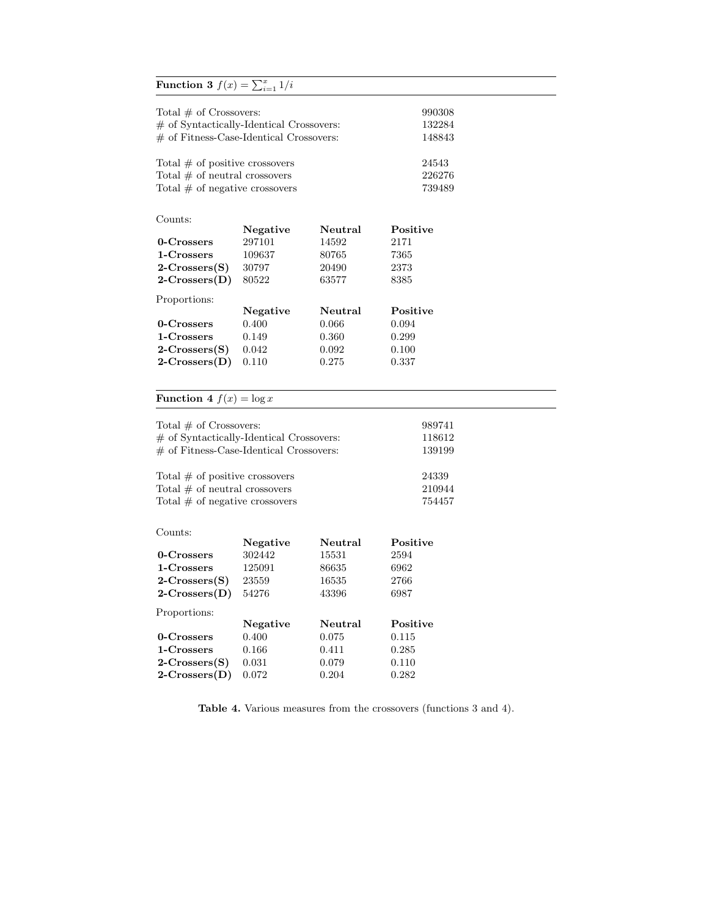| Function 3 $f(x) = \sum_{i=1}^{x} 1/i$ |  |  |  |  |
|----------------------------------------|--|--|--|--|
|----------------------------------------|--|--|--|--|

| Total $\#$ of Crossovers:<br>$\#$ of Syntactically-Identical Crossovers:<br>$\#$ of Fitness-Case-Identical Crossovers: | 990308<br>132284<br>148843                     |                                             |                                          |
|------------------------------------------------------------------------------------------------------------------------|------------------------------------------------|---------------------------------------------|------------------------------------------|
| Total $#$ of positive crossovers                                                                                       |                                                |                                             | 24543                                    |
| Total $\#$ of neutral crossovers                                                                                       |                                                |                                             | 226276                                   |
| Total $\#$ of negative crossovers                                                                                      |                                                |                                             | 739489                                   |
| Counts:<br>0-Crossers<br>1-Crossers<br>$2$ -Crossers $(S)$<br>$2$ -Crossers $(D)$                                      | Negative<br>297101<br>109637<br>30797<br>80522 | Neutral<br>14592<br>80765<br>20490<br>63577 | Positive<br>2171<br>7365<br>2373<br>8385 |
| Proportions:                                                                                                           |                                                |                                             |                                          |
|                                                                                                                        | Negative                                       | Neutral                                     | Positive                                 |
| 0-Crossers                                                                                                             | 0.400                                          | 0.066                                       | 0.094                                    |
| 1-Crossers                                                                                                             | 0.149                                          | 0.360                                       | 0.299                                    |
| $2$ -Crossers $(S)$                                                                                                    | 0.042                                          | 0.092                                       | 0.100                                    |

**2-Crossers(D)**  $0.110$   $0.275$   $0.337$ 

#### Function 4  $f(x) = \log x$

| Total $\#$ of Crossovers:                   | 989741   |         |          |
|---------------------------------------------|----------|---------|----------|
| $\#$ of Syntactically-Identical Crossovers: | 118612   |         |          |
| $\#$ of Fitness-Case-Identical Crossovers:  |          |         | 139199   |
|                                             |          |         |          |
| Total $\#$ of positive crossovers           |          |         | 24339    |
| Total $\#$ of neutral crossovers            |          |         | 210944   |
| Total $\#$ of negative crossovers           |          |         | 754457   |
|                                             |          |         |          |
| Counts:                                     |          |         |          |
|                                             | Negative | Neutral | Positive |
| 0-Crossers                                  | 302442   | 15531   | 2594     |
| 1-Crossers                                  | 125091   | 86635   | 6962     |
| $2$ -Crossers $(S)$                         | 23559    | 16535   | 2766     |
| $2$ -Crossers $(D)$                         | 54276    | 43396   | 6987     |
| Proportions:                                |          |         |          |
|                                             | Negative | Neutral | Positive |
| 0-Crossers                                  | 0.400    | 0.075   | 0.115    |
| 1-Crossers                                  | 0.166    | 0.411   | 0.285    |
| $2$ -Crossers $(S)$                         | 0.031    | 0.079   | 0.110    |

**2-Crossers(S)** 0.031 0.079 0.110<br>**2-Crossers(D)** 0.072 0.204 0.282

**2-Crossers(D)**  $0.072$  0.204

Table 4. Various measures from the crossovers (functions 3 and 4).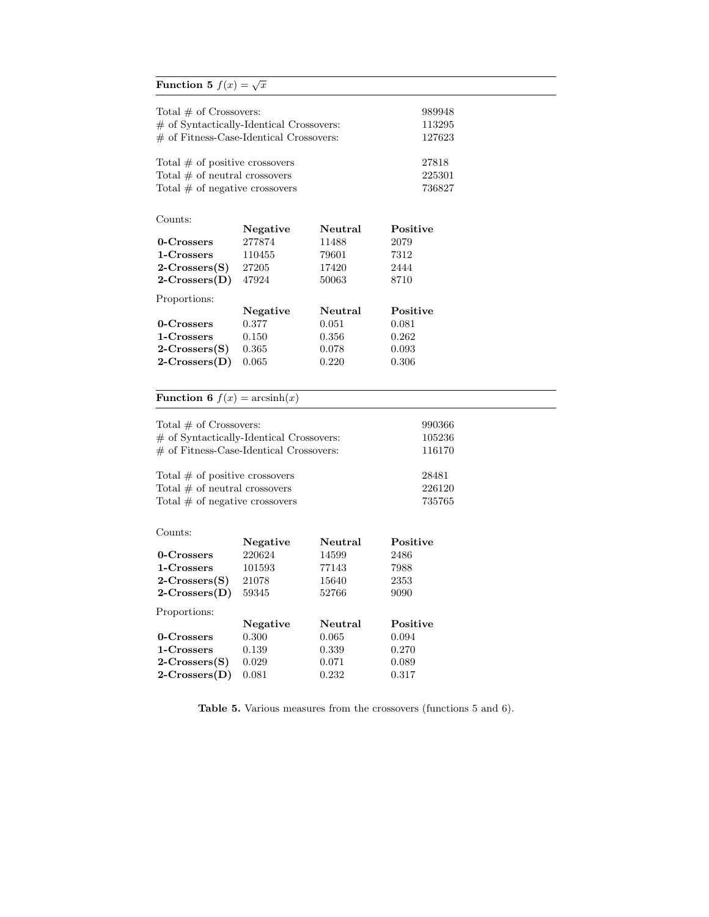#### Function 5  $f(x) = \sqrt{x}$

| Total $#$ of Crossovers:                    | 989948 |
|---------------------------------------------|--------|
| $\#$ of Syntactically-Identical Crossovers: | 113295 |
| $\#$ of Fitness-Case-Identical Crossovers:  | 127623 |
|                                             |        |
| Total $#$ of positive crossovers            | 27818  |
| Total $\#$ of neutral crossovers            | 225301 |
| Total $\#$ of negative crossovers           | 736827 |
|                                             |        |
|                                             |        |

| Counts:             |          |         |          |
|---------------------|----------|---------|----------|
|                     | Negative | Neutral | Positive |
| 0-Crossers          | 277874   | 11488   | 2079     |
| 1-Crossers          | 110455   | 79601   | 7312     |
| $2$ -Crossers $(S)$ | 27205    | 17420   | 2444     |
| $2$ -Crossers $(D)$ | 47924    | 50063   | 8710     |
|                     |          |         |          |
| Proportions:        |          |         |          |
|                     | Negative | Neutral | Positive |
| 0-Crossers          | 0.377    | 0.051   | 0.081    |
| 1-Crossers          | 0.150    | 0.356   | 0.262    |
| $2$ -Crossers $(S)$ | 0.365    | 0.078   | 0.093    |

#### **Function 6**  $f(x) = \operatorname{arcsinh}(x)$

| Total $\#$ of Crossovers:<br>$\#$ of Syntactically-Identical Crossovers:<br>$#$ of Fitness-Case-Identical Crossovers:<br>Total $\#$ of positive crossovers<br>Total $\#$ of neutral crossovers<br>Total $\#$ of negative crossovers | 990366<br>105236<br>116170<br>28481<br>226120<br>735765 |         |            |
|-------------------------------------------------------------------------------------------------------------------------------------------------------------------------------------------------------------------------------------|---------------------------------------------------------|---------|------------|
| Counts:                                                                                                                                                                                                                             | Negative                                                | Neutral | Positive   |
| 0-Crossers                                                                                                                                                                                                                          | 220624                                                  | 14599   | 2486       |
| 1-Crossers                                                                                                                                                                                                                          | 101593                                                  | 77143   | 7988       |
| $2$ -Crossers $(S)$                                                                                                                                                                                                                 | 21078                                                   | 15640   | 2353       |
| $2$ -Crossers $(D)$                                                                                                                                                                                                                 | 59345                                                   | 52766   | 9090       |
| Proportions:                                                                                                                                                                                                                        |                                                         |         |            |
|                                                                                                                                                                                                                                     | Negative                                                | Neutral | Positive   |
| 0-Crossers                                                                                                                                                                                                                          | 0.300                                                   | 0.065   | 0.094      |
| 1-Crossers                                                                                                                                                                                                                          | 0.139                                                   | 0.339   | 0.270      |
| $2$ -Crossers $(S)$                                                                                                                                                                                                                 | 0.029                                                   | 0.071   | 0.089      |
| $2$ -Crossers $(D)$                                                                                                                                                                                                                 | 0.081                                                   | 0.232   | $_{0.317}$ |

Table 5. Various measures from the crossovers (functions 5 and 6).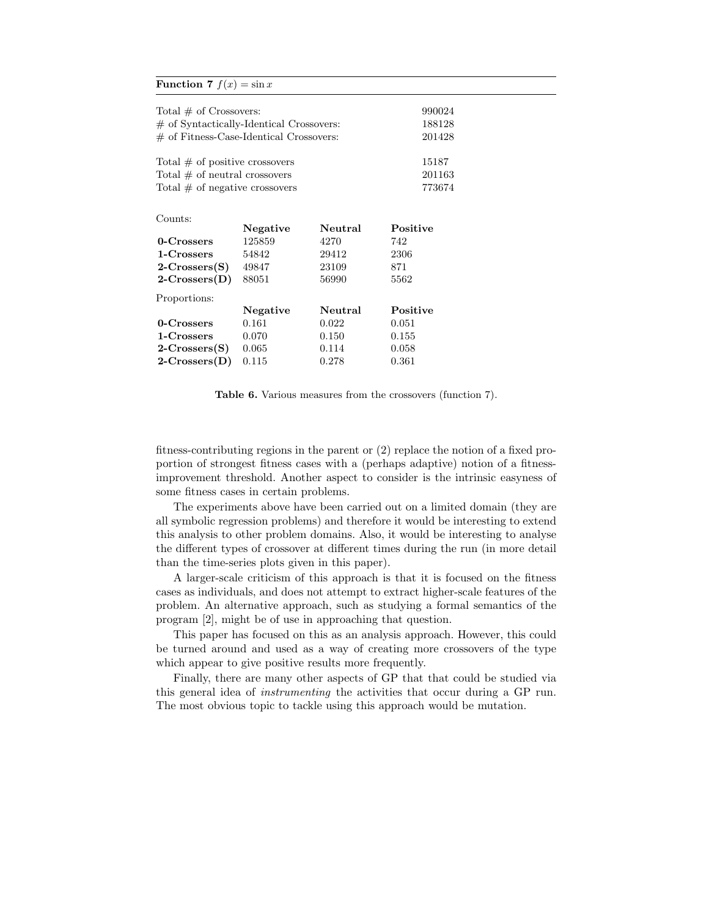#### Function 7  $f(x) = \sin x$

| Total $\#$ of Crossovers:<br>$\#$ of Syntactically-Identical Crossovers:<br>$#$ of Fitness-Case-Identical Crossovers: |          |         | 990024<br>188128<br>201428 |
|-----------------------------------------------------------------------------------------------------------------------|----------|---------|----------------------------|
| Total $\#$ of positive crossovers<br>Total $\#$ of neutral crossovers<br>Total $\#$ of negative crossovers            |          |         | 15187<br>201163<br>773674  |
| Counts:                                                                                                               | Negative | Neutral | Positive                   |
| 0-Crossers                                                                                                            | 125859   | 4270    | 742                        |
| 1-Crossers                                                                                                            | 54842    | 29412   | 2306                       |
| $2$ -Crossers $(S)$                                                                                                   | 49847    | 23109   | 871                        |
| $2$ -Crossers $(D)$                                                                                                   | 88051    | 56990   | 5562                       |
| Proportions:                                                                                                          |          |         |                            |
|                                                                                                                       | Negative | Neutral | Positive                   |
| 0-Crossers                                                                                                            | 0.161    | 0.022   | 0.051                      |
| 1-Crossers                                                                                                            | 0.070    | 0.150   | 0.155                      |
| $2$ -Crossers $(S)$                                                                                                   | 0.065    | 0.114   | 0.058                      |
| $2$ -Crossers $(D)$                                                                                                   | 0.115    | 0.278   | 0.361                      |

Table 6. Various measures from the crossovers (function 7).

fitness-contributing regions in the parent or (2) replace the notion of a fixed proportion of strongest fitness cases with a (perhaps adaptive) notion of a fitnessimprovement threshold. Another aspect to consider is the intrinsic easyness of some fitness cases in certain problems.

The experiments above have been carried out on a limited domain (they are all symbolic regression problems) and therefore it would be interesting to extend this analysis to other problem domains. Also, it would be interesting to analyse the different types of crossover at different times during the run (in more detail than the time-series plots given in this paper).

A larger-scale criticism of this approach is that it is focused on the fitness cases as individuals, and does not attempt to extract higher-scale features of the problem. An alternative approach, such as studying a formal semantics of the program [2], might be of use in approaching that question.

This paper has focused on this as an analysis approach. However, this could be turned around and used as a way of creating more crossovers of the type which appear to give positive results more frequently.

Finally, there are many other aspects of GP that that could be studied via this general idea of instrumenting the activities that occur during a GP run. The most obvious topic to tackle using this approach would be mutation.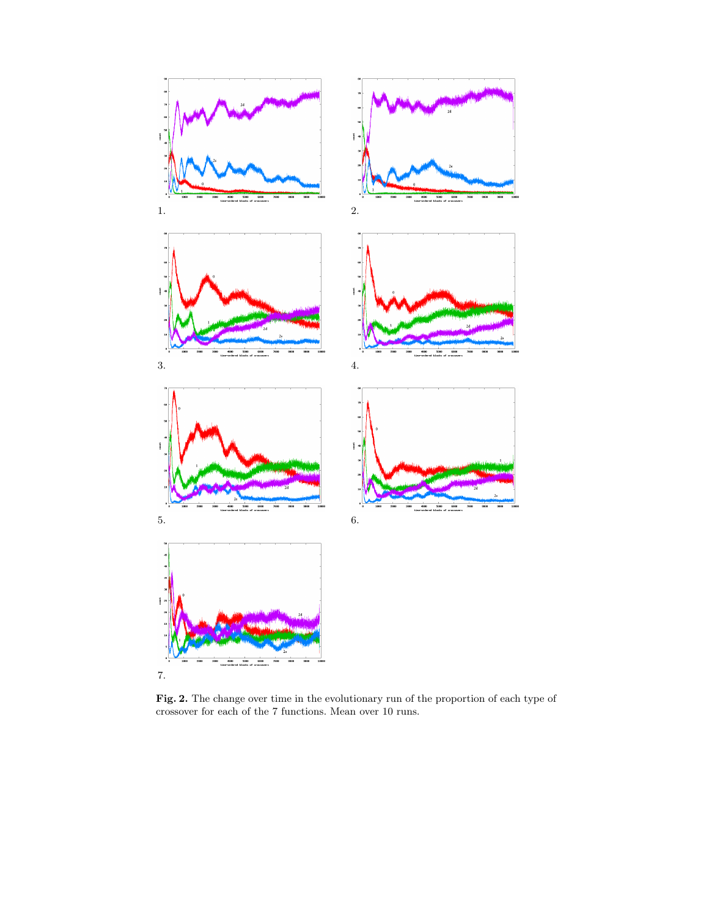

Fig. 2. The change over time in the evolutionary run of the proportion of each type of crossover for each of the 7 functions. Mean over 10 runs.